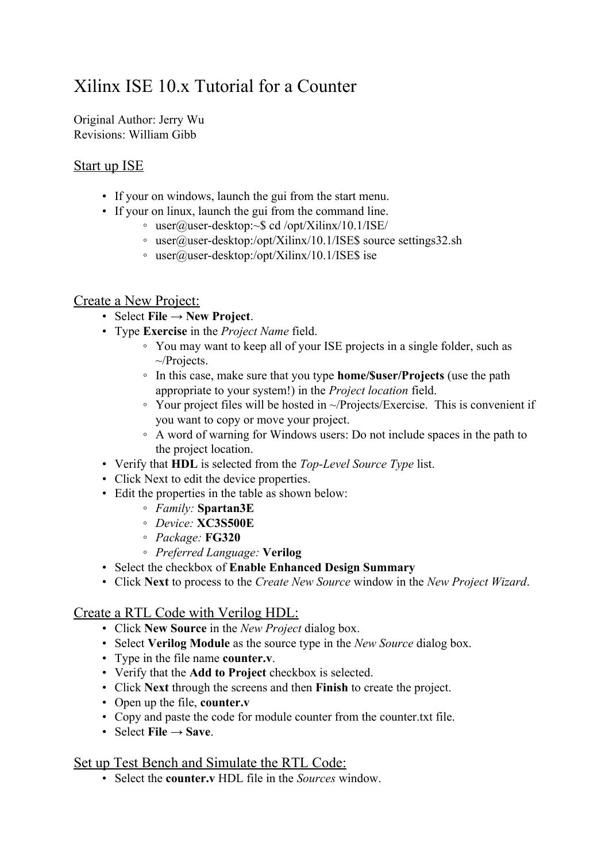# Xilinx ISE 10.x Tutorial for a Counter

Original Author: Jerry Wu Revisions: William Gibb

## Start up ISE

- If your on windows, launch the gui from the start menu.
- If your on linux, launch the gui from the command line.
	- user@user-desktop:~\$ cd /opt/Xilinx/10.1/ISE/
		- user@user-desktop:/opt/Xilinx/10.1/ISE\$ source settings32.sh
		- user@user-desktop:/opt/Xilinx/10.1/ISE\$ ise

## Create a New Project:

- Select **File → New Project**.
- Type **Exercise** in the *Project Name* field.
	- You may want to keep all of your ISE projects in a single folder, such as ~/Projects.
	- In this case, make sure that you type **home/\$user/Projects** (use the path appropriate to your system!) in the *Project location* field.
	- Your project files will be hosted in ~/Projects/Exercise. This is convenient if you want to copy or move your project.
	- A word of warning for Windows users: Do not include spaces in the path to the project location.
- Verify that **HDL** is selected from the *Top-Level Source Type* list.
- Click Next to edit the device properties.
- Edit the properties in the table as shown below:
	- *Family:* **Spartan3E**
	- *Device:* **XC3S500E**
	- *Package:* **FG320**
	- *Preferred Language:* **Verilog**
- Select the checkbox of **Enable Enhanced Design Summary**
- Click **Next** to process to the *Create New Source* window in the *New Project Wizard*.

#### Create a RTL Code with Verilog HDL:

- Click **New Source** in the *New Project* dialog box.
- Select **Verilog Module** as the source type in the *New Source* dialog box.
- Type in the file name **counter.v**.
- Verify that the **Add to Project** checkbox is selected.
- Click **Next** through the screens and then **Finish** to create the project.
- Open up the file, **counter.v**
- Copy and paste the code for module counter from the counter.txt file.
- Select **File**  $\rightarrow$  **Save**.

#### Set up Test Bench and Simulate the RTL Code:

• Select the **counter.v** HDL file in the *Sources* window.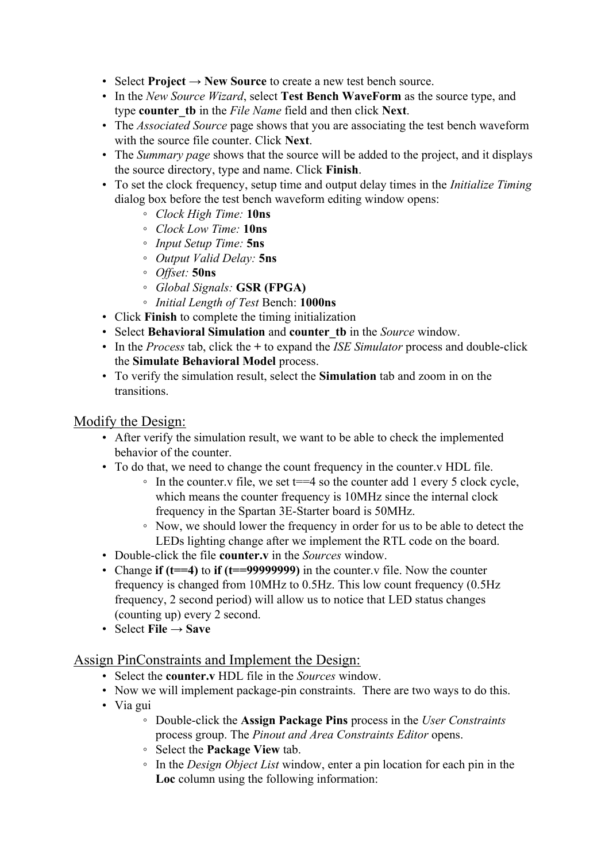- Select **Project → New Source** to create a new test bench source.
- In the *New Source Wizard*, select **Test Bench WaveForm** as the source type, and type **counter\_tb** in the *File Name* field and then click **Next**.
- The *Associated Source* page shows that you are associating the test bench waveform with the source file counter. Click **Next**.
- The *Summary page* shows that the source will be added to the project, and it displays the source directory, type and name. Click **Finish**.
- To set the clock frequency, setup time and output delay times in the *Initialize Timing* dialog box before the test bench waveform editing window opens:
	- *Clock High Time:* **10ns**
	- *Clock Low Time:* **10ns**
	- *Input Setup Time:* **5ns**
	- *Output Valid Delay:* **5ns**
	- *Offset:* **50ns**
	- *Global Signals:* **GSR (FPGA)**
	- *Initial Length of Test* Bench: **1000ns**
- Click **Finish** to complete the timing initialization
- Select **Behavioral Simulation** and **counter\_tb** in the *Source* window.
- In the *Process* tab, click the **+** to expand the *ISE Simulator* process and double-click the **Simulate Behavioral Model** process.
- To verify the simulation result, select the **Simulation** tab and zoom in on the transitions.

#### Modify the Design:

- After verify the simulation result, we want to be able to check the implemented behavior of the counter.
- To do that, we need to change the count frequency in the counter.v HDL file.
	- $\circ$  In the counter. v file, we set t==4 so the counter add 1 every 5 clock cycle, which means the counter frequency is 10MHz since the internal clock frequency in the Spartan 3E-Starter board is 50MHz.
	- Now, we should lower the frequency in order for us to be able to detect the LEDs lighting change after we implement the RTL code on the board.
- Double-click the file **counter.v** in the *Sources* window.
- Change **if (t==4)** to **if (t==99999999)** in the counter.v file. Now the counter frequency is changed from 10MHz to 0.5Hz. This low count frequency (0.5Hz frequency, 2 second period) will allow us to notice that LED status changes (counting up) every 2 second.
- Select **File**  $\rightarrow$  **Save**

#### Assign PinConstraints and Implement the Design:

- Select the **counter.v** HDL file in the *Sources* window.
- Now we will implement package-pin constraints. There are two ways to do this.
- Via gui
	- Double-click the **Assign Package Pins** process in the *User Constraints* process group. The *Pinout and Area Constraints Editor* opens.
	- Select the **Package View** tab.
	- In the *Design Object List* window, enter a pin location for each pin in the **Loc** column using the following information: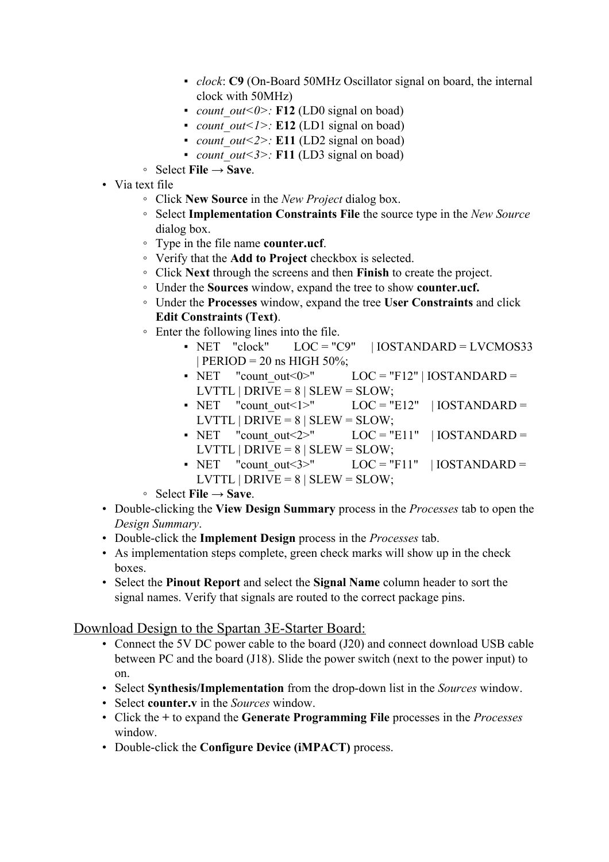- *clock*: **C9** (On-Board 50MHz Oscillator signal on board, the internal clock with 50MHz)
- *count out*< $0$ >: **F12** (LD0 signal on boad)
- *count out<1>*: **E12** (LD1 signal on boad)
- *count out*<2>: **E11** (LD2 signal on boad)
- *count out*<3>: **F11** (LD3 signal on boad)
- Select **File → Save**.
- Via text file
	- Click **New Source** in the *New Project* dialog box.
	- Select **Implementation Constraints File** the source type in the *New Source* dialog box.
	- Type in the file name **counter.ucf**.
	- Verify that the **Add to Project** checkbox is selected.
	- Click **Next** through the screens and then **Finish** to create the project.
	- Under the **Sources** window, expand the tree to show **counter.ucf.**
	- Under the **Processes** window, expand the tree **User Constraints** and click **Edit Constraints (Text)**.
	- Enter the following lines into the file.
		- $\blacksquare$  NET "clock" LOC = "C9" | IOSTANDARD = LVCMOS33  $|$  PERIOD = 20 ns HIGH 50%;
		- NET "count out <0>"  $LOC = "F12" | IOSTANDARD =$ LVTTL | DRIVE =  $8$  | SLEW = SLOW;
		- NET "count out <1>"  $LOC = "E12" | IOSTANDARD =$ LVTTL | DRIVE =  $8$  | SLEW = SLOW;
		- NET "count out  $2$ <sup>"</sup> LOC = "E11" | IOSTANDARD = LVTTL | DRIVE =  $8$  | SLEW = SLOW;
		- NET "count out  $3$ <sup>-"</sup> LOC = "F11" | IOSTANDARD = LVTTL  $|DRIVE = 8 | SLEW = SLOW;$
	- Select **File → Save**.
- Double-clicking the **View Design Summary** process in the *Processes* tab to open the *Design Summary*.
- Double-click the **Implement Design** process in the *Processes* tab.
- As implementation steps complete, green check marks will show up in the check boxes.
- Select the **Pinout Report** and select the **Signal Name** column header to sort the signal names. Verify that signals are routed to the correct package pins.

# Download Design to the Spartan 3E-Starter Board:

- Connect the 5V DC power cable to the board (J20) and connect download USB cable between PC and the board (J18). Slide the power switch (next to the power input) to on.
- Select **Synthesis/Implementation** from the drop-down list in the *Sources* window.
- Select **counter.v** in the *Sources* window.
- Click the **+** to expand the **Generate Programming File** processes in the *Processes* window.
- Double-click the **Configure Device (iMPACT)** process.